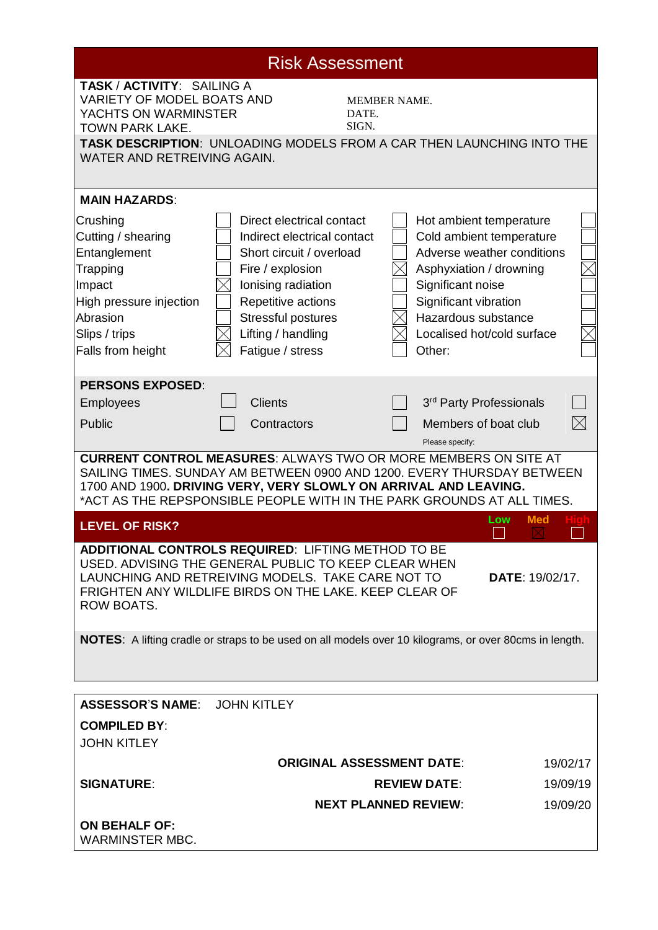| <b>Risk Assessment</b>                                                                                                                                                                                                                                                                         |                                                                                                                                                                                                                      |                                  |                                                                                                                                                                                                                           |  |  |
|------------------------------------------------------------------------------------------------------------------------------------------------------------------------------------------------------------------------------------------------------------------------------------------------|----------------------------------------------------------------------------------------------------------------------------------------------------------------------------------------------------------------------|----------------------------------|---------------------------------------------------------------------------------------------------------------------------------------------------------------------------------------------------------------------------|--|--|
| TASK / ACTIVITY: SAILING A<br><b>VARIETY OF MODEL BOATS AND</b><br><b>MEMBER NAME.</b><br>YACHTS ON WARMINSTER<br>DATE.<br>SIGN.<br><b>TOWN PARK LAKE.</b><br>TASK DESCRIPTION: UNLOADING MODELS FROM A CAR THEN LAUNCHING INTO THE<br>WATER AND RETREIVING AGAIN.                             |                                                                                                                                                                                                                      |                                  |                                                                                                                                                                                                                           |  |  |
| <b>MAIN HAZARDS:</b>                                                                                                                                                                                                                                                                           |                                                                                                                                                                                                                      |                                  |                                                                                                                                                                                                                           |  |  |
| Crushing<br>Cutting / shearing<br>Entanglement<br>Trapping<br>Impact<br>High pressure injection<br>Abrasion<br>Slips / trips<br>Falls from height                                                                                                                                              | Direct electrical contact<br>Indirect electrical contact<br>Short circuit / overload<br>Fire / explosion<br>Ionising radiation<br>Repetitive actions<br>Stressful postures<br>Lifting / handling<br>Fatigue / stress |                                  | Hot ambient temperature<br>Cold ambient temperature<br>Adverse weather conditions<br>Asphyxiation / drowning<br>Significant noise<br>Significant vibration<br>Hazardous substance<br>Localised hot/cold surface<br>Other: |  |  |
|                                                                                                                                                                                                                                                                                                |                                                                                                                                                                                                                      |                                  |                                                                                                                                                                                                                           |  |  |
| <b>PERSONS EXPOSED:</b><br><b>Employees</b>                                                                                                                                                                                                                                                    | <b>Clients</b>                                                                                                                                                                                                       |                                  | 3 <sup>rd</sup> Party Professionals                                                                                                                                                                                       |  |  |
| Public                                                                                                                                                                                                                                                                                         | Contractors                                                                                                                                                                                                          |                                  | Members of boat club<br>Please specify:                                                                                                                                                                                   |  |  |
| <b>CURRENT CONTROL MEASURES: ALWAYS TWO OR MORE MEMBERS ON SITE AT</b><br>SAILING TIMES. SUNDAY AM BETWEEN 0900 AND 1200. EVERY THURSDAY BETWEEN<br>1700 AND 1900. DRIVING VERY, VERY SLOWLY ON ARRIVAL AND LEAVING.<br>*ACT AS THE REPSPONSIBLE PEOPLE WITH IN THE PARK GROUNDS AT ALL TIMES. |                                                                                                                                                                                                                      |                                  |                                                                                                                                                                                                                           |  |  |
| <b>LEVEL OF RISK?</b>                                                                                                                                                                                                                                                                          |                                                                                                                                                                                                                      |                                  | Low<br>Med                                                                                                                                                                                                                |  |  |
| ADDITIONAL CONTROLS REQUIRED: LIFTING METHOD TO BE<br>USED, ADVISING THE GENERAL PUBLIC TO KEEP CLEAR WHEN<br>LAUNCHING AND RETREIVING MODELS. TAKE CARE NOT TO<br><b>DATE: 19/02/17.</b><br>FRIGHTEN ANY WILDLIFE BIRDS ON THE LAKE. KEEP CLEAR OF<br><b>ROW BOATS.</b>                       |                                                                                                                                                                                                                      |                                  |                                                                                                                                                                                                                           |  |  |
|                                                                                                                                                                                                                                                                                                |                                                                                                                                                                                                                      |                                  | NOTES: A lifting cradle or straps to be used on all models over 10 kilograms, or over 80cms in length.                                                                                                                    |  |  |
|                                                                                                                                                                                                                                                                                                |                                                                                                                                                                                                                      |                                  |                                                                                                                                                                                                                           |  |  |
| <b>ASSESSOR'S NAME: JOHN KITLEY</b><br><b>COMPILED BY:</b><br><b>JOHN KITLEY</b>                                                                                                                                                                                                               |                                                                                                                                                                                                                      | <b>ODICINAL ACCECCMENT DATE.</b> | 10/02/17                                                                                                                                                                                                                  |  |  |

|                                                | <b>ORIGINAL ASSESSMENT DATE:</b> | 19/02/17 |
|------------------------------------------------|----------------------------------|----------|
| <b>SIGNATURE:</b>                              | <b>REVIEW DATE:</b>              | 19/09/19 |
|                                                | <b>NEXT PLANNED REVIEW:</b>      | 19/09/20 |
| <b>ON BEHALF OF:</b><br><b>WARMINSTER MBC.</b> |                                  |          |